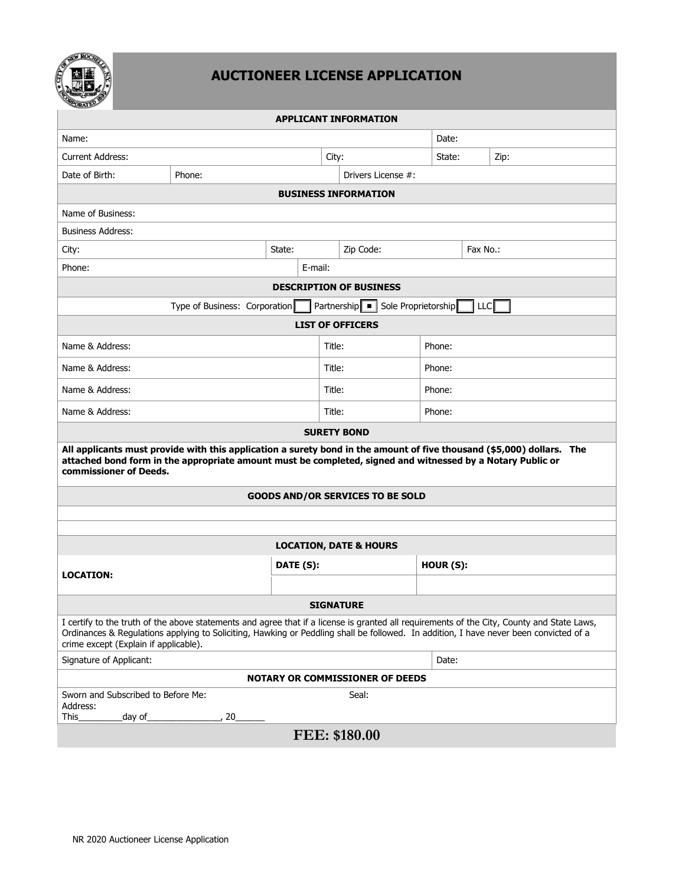

# **AUCTIONEER LICENSE APPLICATION**

| ORATEV                                                                                                                                                                                                                                                                                                                       |                               |           |        |                                   |          |            |  |
|------------------------------------------------------------------------------------------------------------------------------------------------------------------------------------------------------------------------------------------------------------------------------------------------------------------------------|-------------------------------|-----------|--------|-----------------------------------|----------|------------|--|
| <b>APPLICANT INFORMATION</b>                                                                                                                                                                                                                                                                                                 |                               |           |        |                                   |          |            |  |
| Name:                                                                                                                                                                                                                                                                                                                        |                               |           |        |                                   | Date:    |            |  |
| <b>Current Address:</b>                                                                                                                                                                                                                                                                                                      |                               | City:     |        | State:                            | Zip:     |            |  |
| Date of Birth:                                                                                                                                                                                                                                                                                                               | Phone:                        |           |        | Drivers License #:                |          |            |  |
|                                                                                                                                                                                                                                                                                                                              |                               |           |        | <b>BUSINESS INFORMATION</b>       |          |            |  |
| Name of Business:                                                                                                                                                                                                                                                                                                            |                               |           |        |                                   |          |            |  |
| <b>Business Address:</b>                                                                                                                                                                                                                                                                                                     |                               |           |        |                                   |          |            |  |
| City:<br>State:                                                                                                                                                                                                                                                                                                              |                               |           |        | Zip Code:                         | Fax No.: |            |  |
| Phone:                                                                                                                                                                                                                                                                                                                       |                               | E-mail:   |        |                                   |          |            |  |
|                                                                                                                                                                                                                                                                                                                              |                               |           |        | <b>DESCRIPTION OF BUSINESS</b>    |          |            |  |
|                                                                                                                                                                                                                                                                                                                              | Type of Business: Corporation |           |        | Partnership   Sole Proprietorship |          | <b>LLC</b> |  |
|                                                                                                                                                                                                                                                                                                                              |                               |           |        | <b>LIST OF OFFICERS</b>           |          |            |  |
| Name & Address:                                                                                                                                                                                                                                                                                                              |                               |           | Title: |                                   | Phone:   |            |  |
| Name & Address:                                                                                                                                                                                                                                                                                                              |                               |           | Title: |                                   | Phone:   |            |  |
| Name & Address:                                                                                                                                                                                                                                                                                                              |                               |           | Title: |                                   | Phone:   |            |  |
| Name & Address:                                                                                                                                                                                                                                                                                                              |                               |           | Title: |                                   | Phone:   |            |  |
|                                                                                                                                                                                                                                                                                                                              |                               |           |        | <b>SURETY BOND</b>                |          |            |  |
| All applicants must provide with this application a surety bond in the amount of five thousand (\$5,000) dollars. The<br>attached bond form in the appropriate amount must be completed, signed and witnessed by a Notary Public or<br>commissioner of Deeds.                                                                |                               |           |        |                                   |          |            |  |
| <b>GOODS AND/OR SERVICES TO BE SOLD</b>                                                                                                                                                                                                                                                                                      |                               |           |        |                                   |          |            |  |
|                                                                                                                                                                                                                                                                                                                              |                               |           |        |                                   |          |            |  |
|                                                                                                                                                                                                                                                                                                                              |                               |           |        |                                   |          |            |  |
| <b>LOCATION, DATE &amp; HOURS</b>                                                                                                                                                                                                                                                                                            |                               |           |        |                                   |          |            |  |
| <b>LOCATION:</b>                                                                                                                                                                                                                                                                                                             |                               | DATE (S): |        |                                   | HOUR(S): |            |  |
|                                                                                                                                                                                                                                                                                                                              |                               |           |        |                                   |          |            |  |
| <b>SIGNATURE</b>                                                                                                                                                                                                                                                                                                             |                               |           |        |                                   |          |            |  |
| I certify to the truth of the above statements and agree that if a license is granted all requirements of the City, County and State Laws,<br>Ordinances & Regulations applying to Soliciting, Hawking or Peddling shall be followed. In addition, I have never been convicted of a<br>crime except (Explain if applicable). |                               |           |        |                                   |          |            |  |
| Signature of Applicant:<br>Date:                                                                                                                                                                                                                                                                                             |                               |           |        |                                   |          |            |  |
| <b>NOTARY OR COMMISSIONER OF DEEDS</b>                                                                                                                                                                                                                                                                                       |                               |           |        |                                   |          |            |  |
| Sworn and Subscribed to Before Me:<br>Address:                                                                                                                                                                                                                                                                               |                               |           |        | Seal:                             |          |            |  |
| This<br>day of_                                                                                                                                                                                                                                                                                                              | , 20                          |           |        |                                   |          |            |  |
| FEE: \$180.00                                                                                                                                                                                                                                                                                                                |                               |           |        |                                   |          |            |  |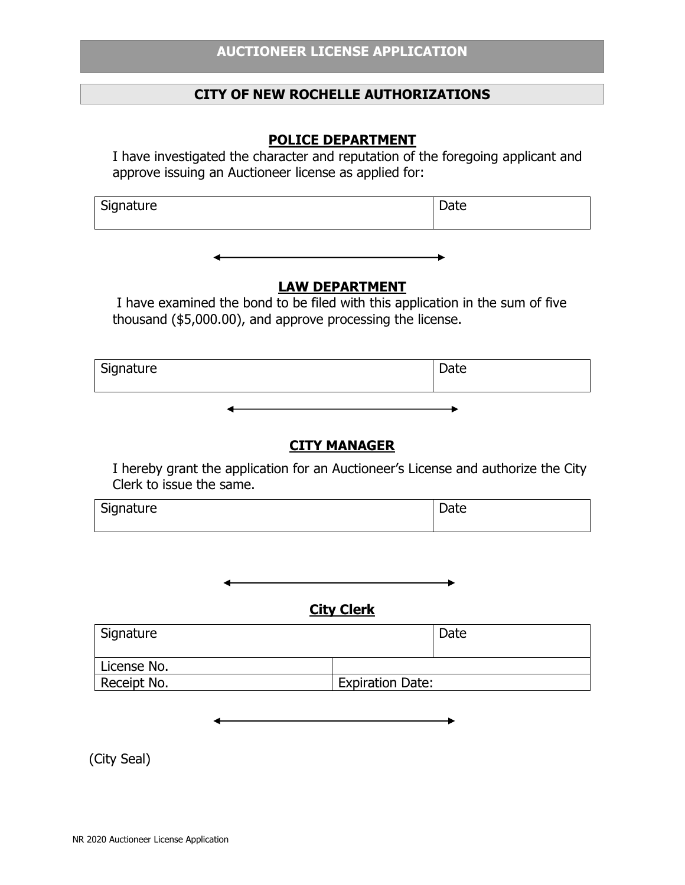## **CITY OF NEW ROCHELLE AUTHORIZATIONS**

# **POLICE DEPARTMENT**

I have investigated the character and reputation of the foregoing applicant and approve issuing an Auctioneer license as applied for:

| Signature | Date |
|-----------|------|
|           |      |

#### **LAW DEPARTMENT**

 I have examined the bond to be filed with this application in the sum of five thousand (\$5,000.00), and approve processing the license.

| Signature |     | Date |
|-----------|-----|------|
|           | . . |      |

# **CITY MANAGER**

 I hereby grant the application for an Auctioneer's License and authorize the City Clerk to issue the same.

| Signature | Date |
|-----------|------|
|           |      |

**City Clerk**

| <sup>1</sup> Signature |                         | Date |
|------------------------|-------------------------|------|
| License No.            |                         |      |
| Receipt No.            | <b>Expiration Date:</b> |      |

(City Seal)